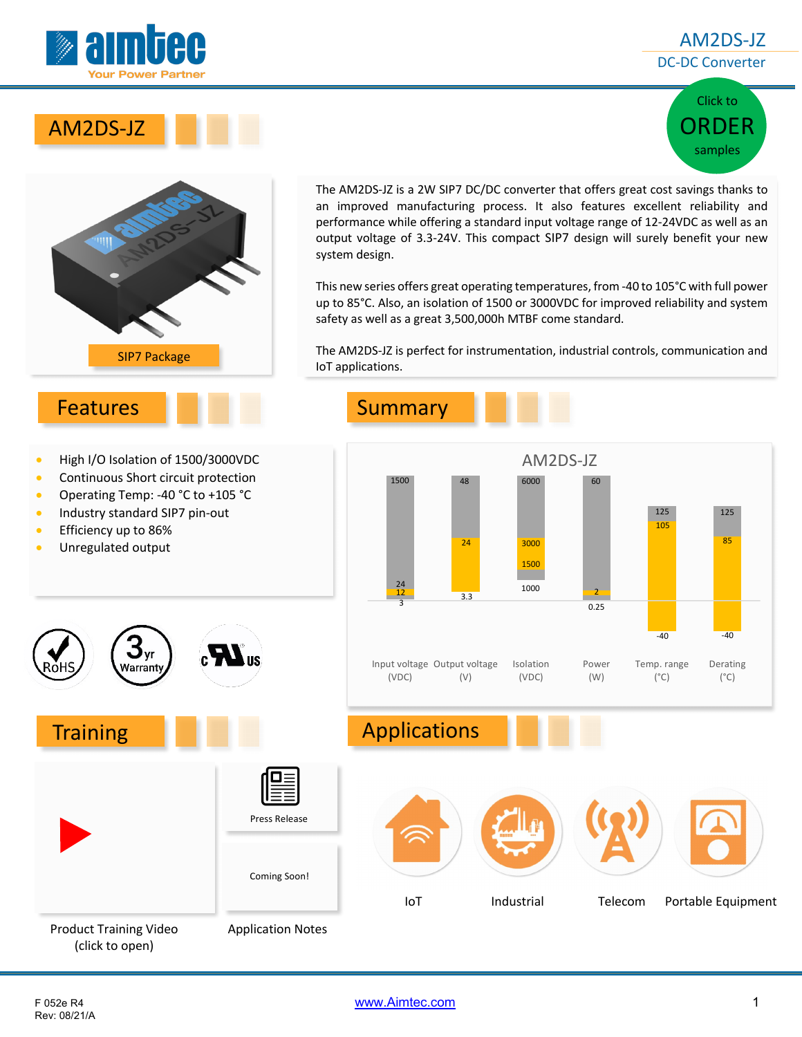

### AM2DS-JZ DC-DC Converter







The AM2DS-JZ is a 2W SIP7 DC/DC converter that offers great cost savings thanks to an improved manufacturing process. It also features excellent reliability and performance while offering a standard input voltage range of 12-24VDC as well as an output voltage of 3.3-24V. This compact SIP7 design will surely benefit your new system design.

This new series offers great operating temperatures, from -40 to 105°C with full power up to 85°C. Also, an isolation of 1500 or 3000VDC for improved reliability and system safety as well as a great 3,500,000h MTBF come standard.

The AM2DS-JZ is perfect for instrumentation, industrial controls, communication and IoT applications.

### Features Summary

|  |  |  |  | High I/O Isolation of 1500/3000VDC |
|--|--|--|--|------------------------------------|
|--|--|--|--|------------------------------------|

- Continuous Short circuit protection
- Operating Temp: -40 °C to +105 °C

 $\mathbf{3}_{\mathrm{yr}}$ Warranty

- Industry standard SIP7 pin-out
- **•** Efficiency up to 86%
- Unregulated output



# Training **Applications**



(click to open)

Rev: 08/21/A

F 052e R4 www.Aimtec.com 1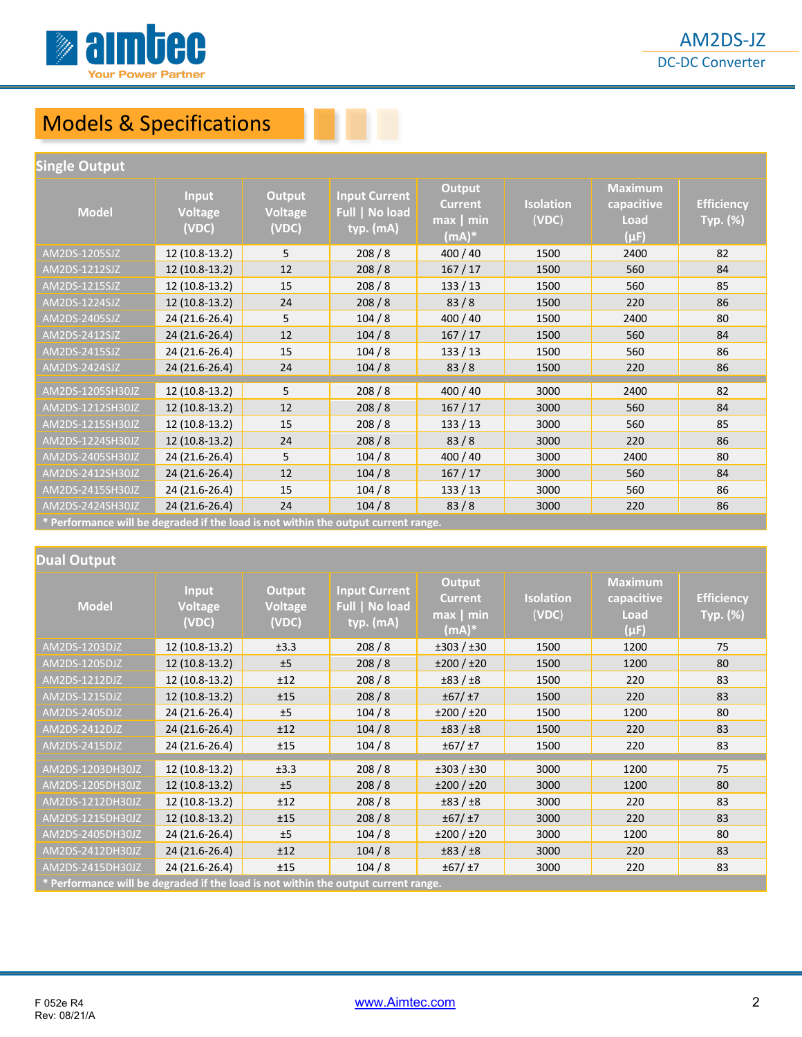

## Models & Specifications

#### **Single Output**

| Model                                                                              | <b>Input</b><br><b>Voltage</b><br>(VDC) | Output<br>Voltage<br>(VDC) | <b>Input Current</b><br>Full   No load<br>typ. (mA) | <b>Output</b><br><b>Current</b><br>$max$ min<br>$(mA)*$ | <b>Isolation</b><br>(VDC) | <b>Maximum</b><br>capacitive<br>Load<br>$(\mu F)$ | <b>Efficiency</b><br>Typ. (%) |
|------------------------------------------------------------------------------------|-----------------------------------------|----------------------------|-----------------------------------------------------|---------------------------------------------------------|---------------------------|---------------------------------------------------|-------------------------------|
| AM2DS-1205SJZ                                                                      | 12 (10.8-13.2)                          | 5                          | 208/8                                               | 400 / 40                                                | 1500                      | 2400                                              | 82                            |
| AM2DS-1212SJZ                                                                      | 12 (10.8-13.2)                          | 12                         | 208/8                                               | 167/17                                                  | 1500                      | 560                                               | 84                            |
| AM2DS-1215SJZ                                                                      | 12 (10.8-13.2)                          | 15                         | 208/8                                               | 133/13                                                  | 1500                      | 560                                               | 85                            |
| AM2DS-1224SJZ                                                                      | 12 (10.8-13.2)                          | 24                         | 208/8                                               | 83/8                                                    | 1500                      | 220                                               | 86                            |
| AM2DS-2405SJZ                                                                      | 24 (21.6-26.4)                          | 5                          | 104/8                                               | 400 / 40                                                | 1500                      | 2400                                              | 80                            |
| AM2DS-2412SJZ                                                                      | 24 (21.6-26.4)                          | 12                         | 104/8                                               | 167/17                                                  | 1500                      | 560                                               | 84                            |
| AM2DS-2415SJZ                                                                      | 24 (21.6-26.4)                          | 15                         | 104/8                                               | 133/13                                                  | 1500                      | 560                                               | 86                            |
| AM2DS-2424SJZ                                                                      | 24 (21.6-26.4)                          | 24                         | 104/8                                               | 83/8                                                    | 1500                      | 220                                               | 86                            |
| AM2DS-1205SH30JZ                                                                   | 12 (10.8-13.2)                          | 5                          | 208/8                                               | 400/40                                                  | 3000                      | 2400                                              | 82                            |
| AM2DS-1212SH30JZ                                                                   | 12 (10.8-13.2)                          | 12                         | 208/8                                               | 167/17                                                  | 3000                      | 560                                               | 84                            |
| AM2DS-1215SH30JZ                                                                   | 12 (10.8-13.2)                          | 15                         | 208/8                                               | 133/13                                                  | 3000                      | 560                                               | 85                            |
| AM2DS-1224SH30JZ                                                                   | 12 (10.8-13.2)                          | 24                         | 208/8                                               | 83/8                                                    | 3000                      | 220                                               | 86                            |
| AM2DS-2405SH30JZ                                                                   | 24 (21.6-26.4)                          | 5                          | 104/8                                               | 400 / 40                                                | 3000                      | 2400                                              | 80                            |
| AM2DS-2412SH30JZ                                                                   | 24 (21.6-26.4)                          | 12                         | 104/8                                               | 167/17                                                  | 3000                      | 560                                               | 84                            |
| AM2DS-2415SH30JZ                                                                   | 24 (21.6-26.4)                          | 15                         | 104/8                                               | 133/13                                                  | 3000                      | 560                                               | 86                            |
| AM2DS-2424SH30JZ                                                                   | 24 (21.6-26.4)                          | 24                         | 104/8                                               | 83/8                                                    | 3000                      | 220                                               | 86                            |
| * Performance will be degraded if the load is not within the output current range. |                                         |                            |                                                     |                                                         |                           |                                                   |                               |

#### **Dual Output**

| <b>Model</b>                                                                      | <b>Input</b><br><b>Voltage</b><br>(VDC) | Output<br>Voltage<br>(VDC) | <b>Input Current</b><br>Full   No load<br>typ. (mA) | <b>Output</b><br><b>Current</b><br>$max$ min<br>(mA)* | <b>Isolation</b><br>(VDC) | <b>Maximum</b><br>capacitive<br><b>Load</b><br>$(\mu F)$ | <b>Efficiency</b><br>Typ. (%) |
|-----------------------------------------------------------------------------------|-----------------------------------------|----------------------------|-----------------------------------------------------|-------------------------------------------------------|---------------------------|----------------------------------------------------------|-------------------------------|
| AM2DS-1203DJZ                                                                     | 12 (10.8-13.2)                          | ±3.3                       | 208/8                                               | ±303 / ±30                                            | 1500                      | 1200                                                     | 75                            |
| AM2DS-1205DJZ                                                                     | 12 (10.8-13.2)                          | ±5                         | 208/8                                               | ±200 / ±20                                            | 1500                      | 1200                                                     | 80                            |
| AM2DS-1212DJZ                                                                     | 12 (10.8-13.2)                          | ±12                        | 208/8                                               | $\pm 83 / \pm 8$                                      | 1500                      | 220                                                      | 83                            |
| AM2DS-1215DJZ                                                                     | 12 (10.8-13.2)                          | ±15                        | 208/8                                               | ±67/±7                                                | 1500                      | 220                                                      | 83                            |
| AM2DS-2405DJZ                                                                     | 24 (21.6-26.4)                          | ±5                         | 104/8                                               | ±200 / ±20                                            | 1500                      | 1200                                                     | 80                            |
| AM2DS-2412DJZ                                                                     | 24 (21.6-26.4)                          | ±12                        | 104/8                                               | ±83 / ±8                                              | 1500                      | 220                                                      | 83                            |
| AM2DS-2415DJZ                                                                     | 24 (21.6-26.4)                          | ±15                        | 104/8                                               | ±67/±7                                                | 1500                      | 220                                                      | 83                            |
| AM2DS-1203DH30JZ                                                                  | 12 (10.8-13.2)                          | ±3.3                       | 208/8                                               | ±303 / ±30                                            | 3000                      | 1200                                                     | 75                            |
| AM2DS-1205DH30JZ                                                                  | 12 (10.8-13.2)                          | ±5                         | 208/8                                               | ±200 / ±20                                            | 3000                      | 1200                                                     | 80                            |
| AM2DS-1212DH30JZ                                                                  | 12 (10.8-13.2)                          | ±12                        | 208/8                                               | ±83/±8                                                | 3000                      | 220                                                      | 83                            |
| AM2DS-1215DH30JZ                                                                  | 12 (10.8-13.2)                          | ±15                        | 208/8                                               | ±67/±7                                                | 3000                      | 220                                                      | 83                            |
| AM2DS-2405DH30JZ                                                                  | 24 (21.6-26.4)                          | ±5                         | 104/8                                               | ±200 / ±20                                            | 3000                      | 1200                                                     | 80                            |
| AM2DS-2412DH30JZ                                                                  | 24 (21.6-26.4)                          | ±12                        | 104/8                                               | ±83 / ±8                                              | 3000                      | 220                                                      | 83                            |
| AM2DS-2415DH30JZ                                                                  | 24 (21.6-26.4)                          | ±15                        | 104/8                                               | ±67/±7                                                | 3000                      | 220                                                      | 83                            |
| * Dorformance will be decreded if the lead is not within the output surrant range |                                         |                            |                                                     |                                                       |                           |                                                          |                               |

**\* Performance will be degraded if the load is not within the output current range.**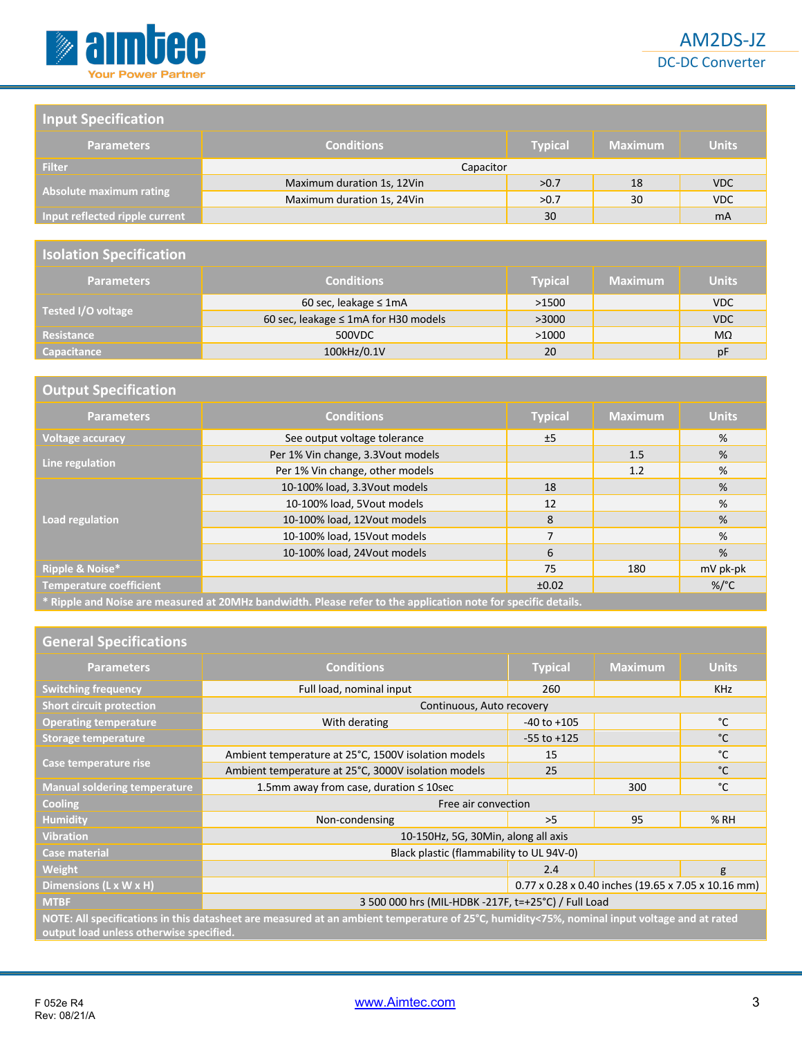

DC-DC Converter

#### **Input Specification**

| <b>Parameters</b>              | <b>Conditions</b>          | <b>Typical</b> | <b>Maximum</b> | <b>Units</b> |
|--------------------------------|----------------------------|----------------|----------------|--------------|
| <b>Filter</b>                  | Capacitor                  |                |                |              |
|                                | Maximum duration 1s, 12Vin | >0.7           | 18             | <b>VDC</b>   |
| Absolute maximum rating        | Maximum duration 1s, 24Vin | >0.7           | 30             | VDC          |
| Input reflected ripple current |                            | 30             |                | <b>mA</b>    |

#### **Isolation Specification**

| <b>Parameters</b>  | <b>Conditions</b>                    | <b>Typical</b> | <b>Maximum</b> | <b>Units</b> |
|--------------------|--------------------------------------|----------------|----------------|--------------|
|                    | 60 sec, leakage $\leq 1$ mA          | >1500          |                | <b>VDC</b>   |
| Tested I/O voltage | 60 sec, leakage ≤ 1mA for H30 models | >3000          |                | <b>VDC</b>   |
| <b>Resistance</b>  | 500VDC                               | >1000          |                | $M\Omega$    |
| <b>Capacitance</b> | 100kHz/0.1V                          | 20             |                | pF           |

| <b>Output Specification</b>    |                                                                                                                |                |                |                 |
|--------------------------------|----------------------------------------------------------------------------------------------------------------|----------------|----------------|-----------------|
| <b>Parameters</b>              | <b>Conditions</b>                                                                                              | <b>Typical</b> | <b>Maximum</b> | <b>Units</b>    |
| <b>Voltage accuracy</b>        | See output voltage tolerance                                                                                   | ±5             |                | %               |
| Line regulation                | Per 1% Vin change, 3.3Vout models                                                                              |                | 1.5            | %               |
|                                | Per 1% Vin change, other models                                                                                |                | 1.2            | %               |
|                                | 10-100% load, 3.3Vout models                                                                                   | 18             |                | %               |
|                                | 10-100% load, 5Vout models                                                                                     | 12             |                | %               |
| Load regulation                | 10-100% load, 12Vout models                                                                                    | 8              |                | %               |
|                                | 10-100% load, 15Vout models                                                                                    | $\overline{7}$ |                | %               |
|                                | 10-100% load, 24Vout models                                                                                    | 6              |                | %               |
| Ripple & Noise*                |                                                                                                                | 75             | 180            | mV pk-pk        |
| <b>Temperature coefficient</b> |                                                                                                                | ±0.02          |                | %/ $^{\circ}$ C |
|                                | * Ripple and Noise are measured at 20MHz bandwidth. Please refer to the application note for specific details. |                |                |                 |

#### **General Specifications**

| <b>Parameters</b>                                                                                                                                                                      | <b>Conditions</b>                                   | <b>Typical</b>  | <b>Maximum</b>                                      | <b>Units</b> |  |
|----------------------------------------------------------------------------------------------------------------------------------------------------------------------------------------|-----------------------------------------------------|-----------------|-----------------------------------------------------|--------------|--|
| <b>Switching frequency</b>                                                                                                                                                             | Full load, nominal input                            | 260             |                                                     | <b>KHz</b>   |  |
| <b>Short circuit protection</b>                                                                                                                                                        | Continuous, Auto recovery                           |                 |                                                     |              |  |
| <b>Operating temperature</b>                                                                                                                                                           | With derating                                       | $-40$ to $+105$ |                                                     | °C           |  |
| Storage temperature                                                                                                                                                                    |                                                     | $-55$ to $+125$ |                                                     | °C           |  |
|                                                                                                                                                                                        | Ambient temperature at 25°C, 1500V isolation models | 15              |                                                     | °C           |  |
| Case temperature rise                                                                                                                                                                  | Ambient temperature at 25°C, 3000V isolation models | 25              |                                                     | $^{\circ}C$  |  |
| <b>Manual soldering temperature</b>                                                                                                                                                    | 1.5mm away from case, duration ≤ 10sec              |                 | 300                                                 | °C           |  |
| <b>Cooling</b>                                                                                                                                                                         | Free air convection                                 |                 |                                                     |              |  |
| <b>Humidity</b>                                                                                                                                                                        | Non-condensing                                      | >5              | 95                                                  | % RH         |  |
| <b>Vibration</b>                                                                                                                                                                       | 10-150Hz, 5G, 30Min, along all axis                 |                 |                                                     |              |  |
| <b>Case material</b>                                                                                                                                                                   | Black plastic (flammability to UL 94V-0)            |                 |                                                     |              |  |
| Weight                                                                                                                                                                                 |                                                     | 2.4             |                                                     | g            |  |
| Dimensions (L x W x H)                                                                                                                                                                 |                                                     |                 | 0.77 x 0.28 x 0.40 inches (19.65 x 7.05 x 10.16 mm) |              |  |
| <b>MTBF</b>                                                                                                                                                                            | 3 500 000 hrs (MIL-HDBK -217F, t=+25°C) / Full Load |                 |                                                     |              |  |
| NOTE: All specifications in this datasheet are measured at an ambient temperature of 25°C, humidity<75%, nominal input voltage and at rated<br>output load unless otherwise specified. |                                                     |                 |                                                     |              |  |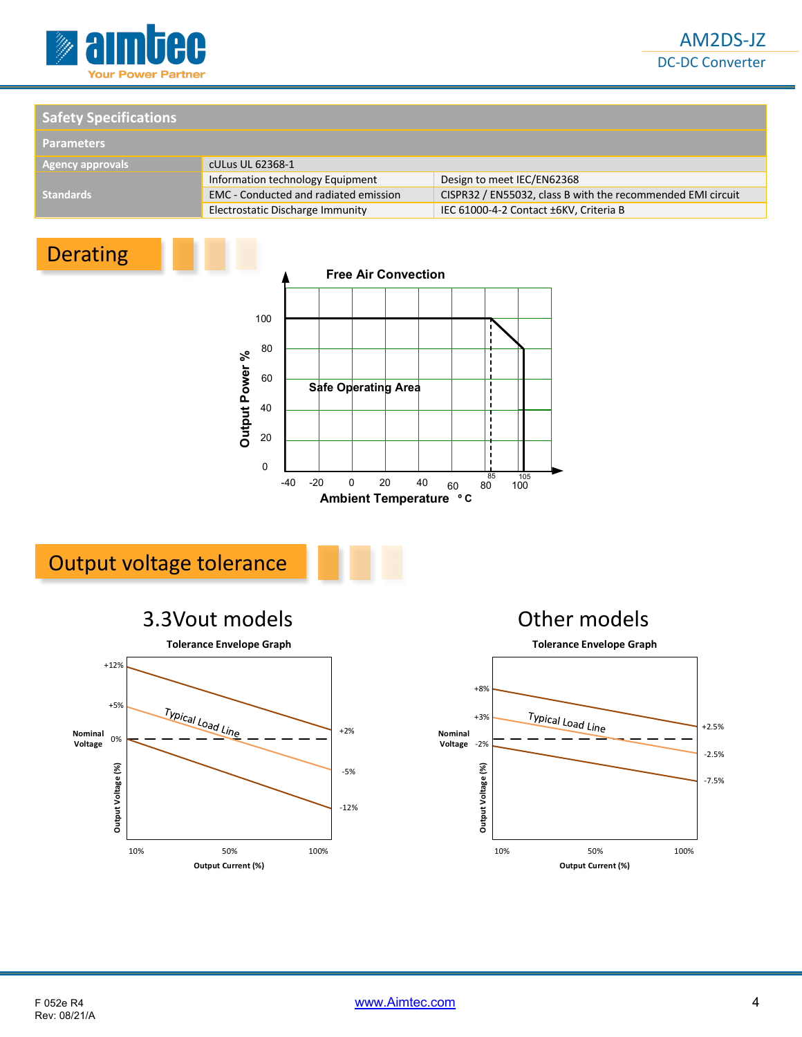

#### **Safety Specifications**

| <b>Parameters</b>       |                                              |                                                             |  |
|-------------------------|----------------------------------------------|-------------------------------------------------------------|--|
| <b>Agency approvals</b> | cULus UL 62368-1                             |                                                             |  |
|                         | Information technology Equipment             | Design to meet IEC/EN62368                                  |  |
| <b>Standards</b>        | <b>EMC</b> - Conducted and radiated emission | CISPR32 / EN55032, class B with the recommended EMI circuit |  |
|                         | Electrostatic Discharge Immunity             | IEC 61000-4-2 Contact ±6KV, Criteria B                      |  |

### Derating



### Output voltage tolerance





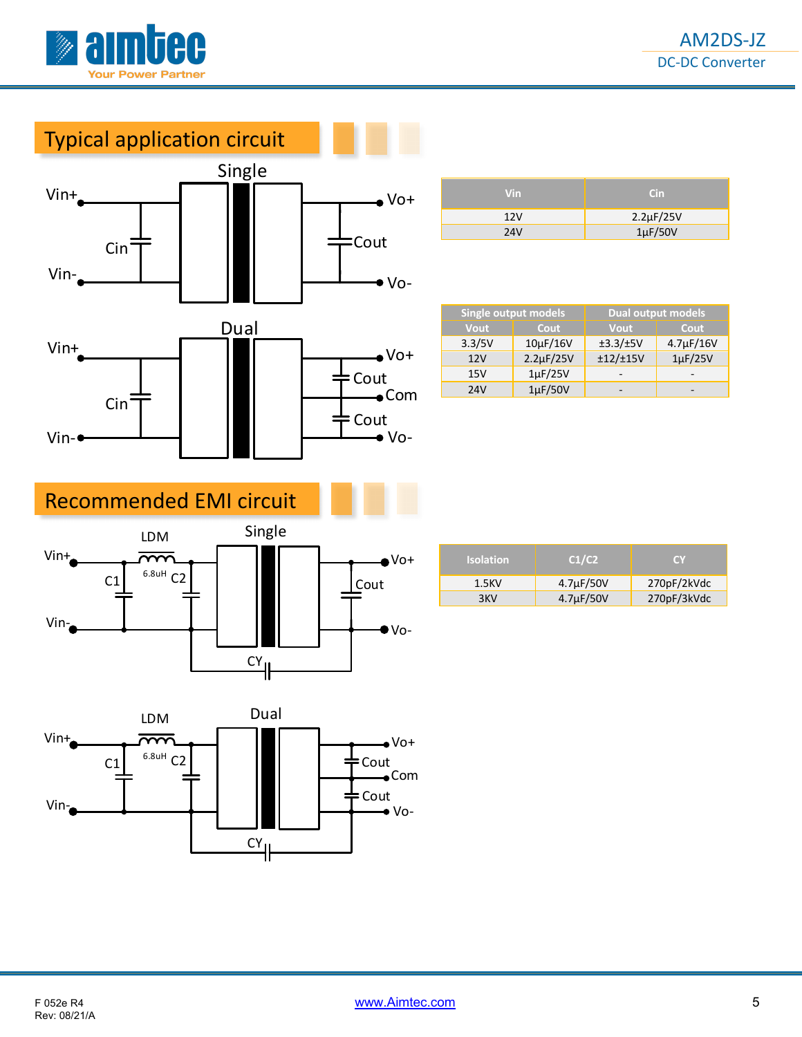

### Typical application circuit



| Vin.       | Cin.               |
|------------|--------------------|
| 12V        | $2.2 \mu F / 25 V$ |
| <b>24V</b> | $1\mu$ F/50V       |

| Single output models |                    | <b>Dual output models</b> |                |  |
|----------------------|--------------------|---------------------------|----------------|--|
| Vout                 | Cout               | <b>Vout</b>               | Cout           |  |
| 3.3/5V               | $10\mu$ F/16V      | $\pm$ 3.3/ $\pm$ 5V       | $4.7\mu F/16V$ |  |
| 12V                  | $2.2 \mu F / 25 V$ | ±12/±15V                  | $1\mu$ F/25V   |  |
| 15V                  | $1\mu$ F/25V       |                           |                |  |
| 24V                  | $1\mu$ F/50V       |                           |                |  |

### Recommended EMI circuit



| <b>Isolation</b> | C1/C2          | <b>CY</b>   |
|------------------|----------------|-------------|
| 1.5KV            | $4.7\mu F/50V$ | 270pF/2kVdc |
| 3KV              | $4.7\mu F/50V$ | 270pF/3kVdc |